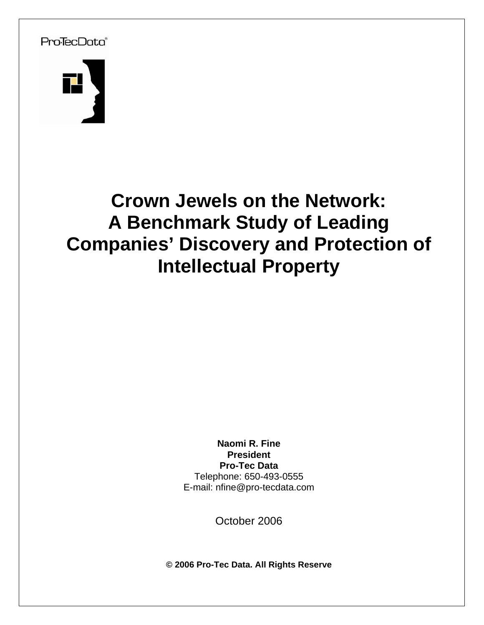# Pro<sup>T</sup>ecData®



# **Crown Jewels on the Network: A Benchmark Study of Leading Companies' Discovery and Protection of Intellectual Property**

**Naomi R. Fine President Pro-Tec Data** Telephone: 650-493-0555 E-mail: nfine@pro-tecdata.com

October 2006

**© 2006 Pro-Tec Data. All Rights Reserve**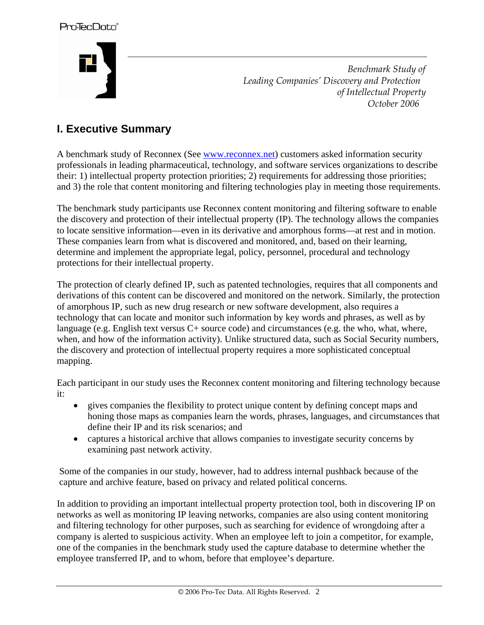

 *Benchmark Study of Leading Companies' Discovery and Protection of Intellectual Property October 2006* 

# **I. Executive Summary**

A benchmark study of Reconnex (See www.reconnex.net) customers asked information security professionals in leading pharmaceutical, technology, and software services organizations to describe their: 1) intellectual property protection priorities; 2) requirements for addressing those priorities; and 3) the role that content monitoring and filtering technologies play in meeting those requirements.

The benchmark study participants use Reconnex content monitoring and filtering software to enable the discovery and protection of their intellectual property (IP). The technology allows the companies to locate sensitive information—even in its derivative and amorphous forms—at rest and in motion. These companies learn from what is discovered and monitored, and, based on their learning, determine and implement the appropriate legal, policy, personnel, procedural and technology protections for their intellectual property.

The protection of clearly defined IP, such as patented technologies, requires that all components and derivations of this content can be discovered and monitored on the network. Similarly, the protection of amorphous IP, such as new drug research or new software development, also requires a technology that can locate and monitor such information by key words and phrases, as well as by language (e.g. English text versus C+ source code) and circumstances (e.g. the who, what, where, when, and how of the information activity). Unlike structured data, such as Social Security numbers, the discovery and protection of intellectual property requires a more sophisticated conceptual mapping.

Each participant in our study uses the Reconnex content monitoring and filtering technology because it:

- gives companies the flexibility to protect unique content by defining concept maps and honing those maps as companies learn the words, phrases, languages, and circumstances that define their IP and its risk scenarios; and
- captures a historical archive that allows companies to investigate security concerns by examining past network activity.

Some of the companies in our study, however, had to address internal pushback because of the capture and archive feature, based on privacy and related political concerns.

In addition to providing an important intellectual property protection tool, both in discovering IP on networks as well as monitoring IP leaving networks, companies are also using content monitoring and filtering technology for other purposes, such as searching for evidence of wrongdoing after a company is alerted to suspicious activity. When an employee left to join a competitor, for example, one of the companies in the benchmark study used the capture database to determine whether the employee transferred IP, and to whom, before that employee's departure.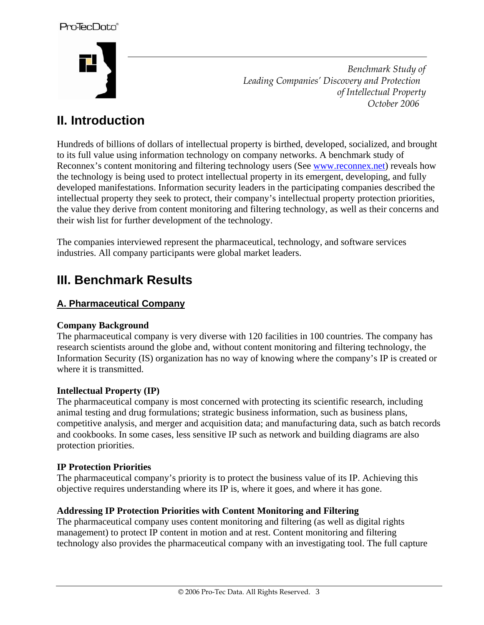

 *Benchmark Study of Leading Companies' Discovery and Protection of Intellectual Property October 2006* 

# **II. Introduction**

Hundreds of billions of dollars of intellectual property is birthed, developed, socialized, and brought to its full value using information technology on company networks. A benchmark study of Reconnex's content monitoring and filtering technology users (See www.reconnex.net) reveals how the technology is being used to protect intellectual property in its emergent, developing, and fully developed manifestations. Information security leaders in the participating companies described the intellectual property they seek to protect, their company's intellectual property protection priorities, the value they derive from content monitoring and filtering technology, as well as their concerns and their wish list for further development of the technology.

The companies interviewed represent the pharmaceutical, technology, and software services industries. All company participants were global market leaders.

# **III. Benchmark Results**

#### **A. Pharmaceutical Company**

#### **Company Background**

The pharmaceutical company is very diverse with 120 facilities in 100 countries. The company has research scientists around the globe and, without content monitoring and filtering technology, the Information Security (IS) organization has no way of knowing where the company's IP is created or where it is transmitted.

#### **Intellectual Property (IP)**

The pharmaceutical company is most concerned with protecting its scientific research, including animal testing and drug formulations; strategic business information, such as business plans, competitive analysis, and merger and acquisition data; and manufacturing data, such as batch records and cookbooks. In some cases, less sensitive IP such as network and building diagrams are also protection priorities.

#### **IP Protection Priorities**

The pharmaceutical company's priority is to protect the business value of its IP. Achieving this objective requires understanding where its IP is, where it goes, and where it has gone.

#### **Addressing IP Protection Priorities with Content Monitoring and Filtering**

The pharmaceutical company uses content monitoring and filtering (as well as digital rights management) to protect IP content in motion and at rest. Content monitoring and filtering technology also provides the pharmaceutical company with an investigating tool. The full capture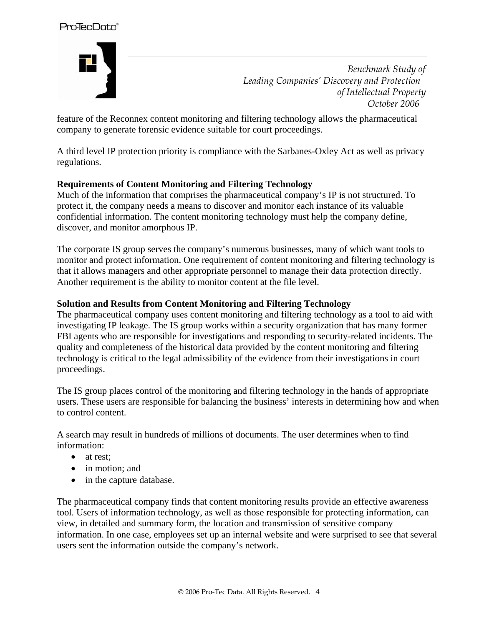

 *Benchmark Study of Leading Companies' Discovery and Protection of Intellectual Property October 2006* 

feature of the Reconnex content monitoring and filtering technology allows the pharmaceutical company to generate forensic evidence suitable for court proceedings.

A third level IP protection priority is compliance with the Sarbanes-Oxley Act as well as privacy regulations.

#### **Requirements of Content Monitoring and Filtering Technology**

Much of the information that comprises the pharmaceutical company's IP is not structured. To protect it, the company needs a means to discover and monitor each instance of its valuable confidential information. The content monitoring technology must help the company define, discover, and monitor amorphous IP.

The corporate IS group serves the company's numerous businesses, many of which want tools to monitor and protect information. One requirement of content monitoring and filtering technology is that it allows managers and other appropriate personnel to manage their data protection directly. Another requirement is the ability to monitor content at the file level.

#### **Solution and Results from Content Monitoring and Filtering Technology**

The pharmaceutical company uses content monitoring and filtering technology as a tool to aid with investigating IP leakage. The IS group works within a security organization that has many former FBI agents who are responsible for investigations and responding to security-related incidents. The quality and completeness of the historical data provided by the content monitoring and filtering technology is critical to the legal admissibility of the evidence from their investigations in court proceedings.

The IS group places control of the monitoring and filtering technology in the hands of appropriate users. These users are responsible for balancing the business' interests in determining how and when to control content.

A search may result in hundreds of millions of documents. The user determines when to find information:

- at rest:
- in motion; and
- in the capture database.

The pharmaceutical company finds that content monitoring results provide an effective awareness tool. Users of information technology, as well as those responsible for protecting information, can view, in detailed and summary form, the location and transmission of sensitive company information. In one case, employees set up an internal website and were surprised to see that several users sent the information outside the company's network.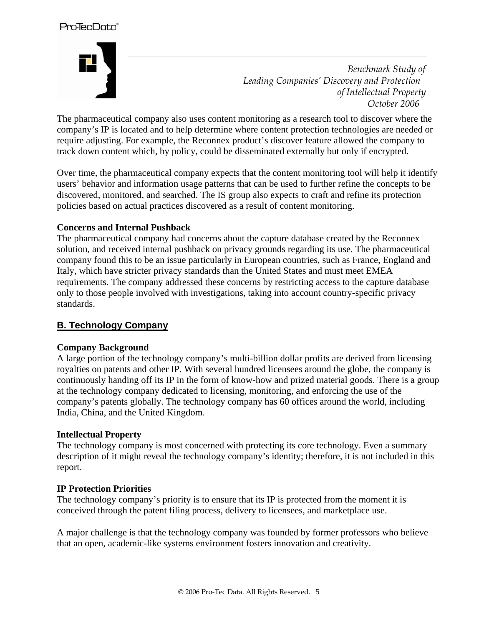

 *Benchmark Study of Leading Companies' Discovery and Protection of Intellectual Property October 2006* 

The pharmaceutical company also uses content monitoring as a research tool to discover where the company's IP is located and to help determine where content protection technologies are needed or require adjusting. For example, the Reconnex product's discover feature allowed the company to track down content which, by policy, could be disseminated externally but only if encrypted.

Over time, the pharmaceutical company expects that the content monitoring tool will help it identify users' behavior and information usage patterns that can be used to further refine the concepts to be discovered, monitored, and searched. The IS group also expects to craft and refine its protection policies based on actual practices discovered as a result of content monitoring.

#### **Concerns and Internal Pushback**

The pharmaceutical company had concerns about the capture database created by the Reconnex solution, and received internal pushback on privacy grounds regarding its use. The pharmaceutical company found this to be an issue particularly in European countries, such as France, England and Italy, which have stricter privacy standards than the United States and must meet EMEA requirements. The company addressed these concerns by restricting access to the capture database only to those people involved with investigations, taking into account country-specific privacy standards.

#### **B. Technology Company**

#### **Company Background**

A large portion of the technology company's multi-billion dollar profits are derived from licensing royalties on patents and other IP. With several hundred licensees around the globe, the company is continuously handing off its IP in the form of know-how and prized material goods. There is a group at the technology company dedicated to licensing, monitoring, and enforcing the use of the company's patents globally. The technology company has 60 offices around the world, including India, China, and the United Kingdom.

#### **Intellectual Property**

The technology company is most concerned with protecting its core technology. Even a summary description of it might reveal the technology company's identity; therefore, it is not included in this report.

#### **IP Protection Priorities**

The technology company's priority is to ensure that its IP is protected from the moment it is conceived through the patent filing process, delivery to licensees, and marketplace use.

A major challenge is that the technology company was founded by former professors who believe that an open, academic-like systems environment fosters innovation and creativity.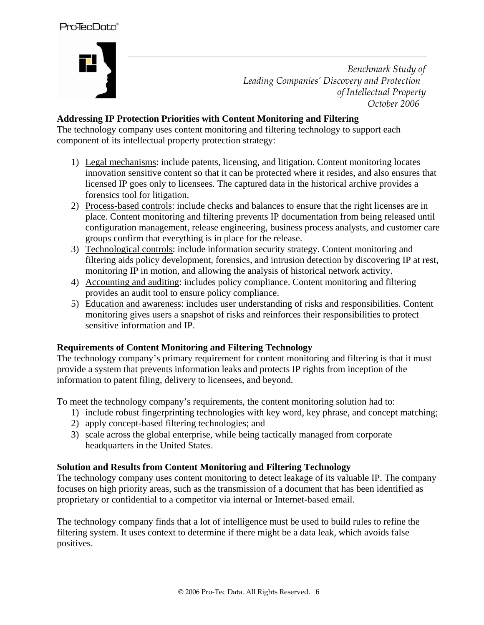# Pro<sup>T</sup>ecData®



 *Benchmark Study of Leading Companies' Discovery and Protection of Intellectual Property October 2006* 

#### **Addressing IP Protection Priorities with Content Monitoring and Filtering**

The technology company uses content monitoring and filtering technology to support each component of its intellectual property protection strategy:

- 1) Legal mechanisms: include patents, licensing, and litigation. Content monitoring locates innovation sensitive content so that it can be protected where it resides, and also ensures that licensed IP goes only to licensees. The captured data in the historical archive provides a forensics tool for litigation.
- 2) Process-based controls: include checks and balances to ensure that the right licenses are in place. Content monitoring and filtering prevents IP documentation from being released until configuration management, release engineering, business process analysts, and customer care groups confirm that everything is in place for the release.
- 3) Technological controls: include information security strategy. Content monitoring and filtering aids policy development, forensics, and intrusion detection by discovering IP at rest, monitoring IP in motion, and allowing the analysis of historical network activity.
- 4) Accounting and auditing: includes policy compliance. Content monitoring and filtering provides an audit tool to ensure policy compliance.
- 5) Education and awareness: includes user understanding of risks and responsibilities. Content monitoring gives users a snapshot of risks and reinforces their responsibilities to protect sensitive information and IP.

#### **Requirements of Content Monitoring and Filtering Technology**

The technology company's primary requirement for content monitoring and filtering is that it must provide a system that prevents information leaks and protects IP rights from inception of the information to patent filing, delivery to licensees, and beyond.

To meet the technology company's requirements, the content monitoring solution had to:

- 1) include robust fingerprinting technologies with key word, key phrase, and concept matching;
- 2) apply concept-based filtering technologies; and
- 3) scale across the global enterprise, while being tactically managed from corporate headquarters in the United States.

#### **Solution and Results from Content Monitoring and Filtering Technology**

The technology company uses content monitoring to detect leakage of its valuable IP. The company focuses on high priority areas, such as the transmission of a document that has been identified as proprietary or confidential to a competitor via internal or Internet-based email.

The technology company finds that a lot of intelligence must be used to build rules to refine the filtering system. It uses context to determine if there might be a data leak, which avoids false positives.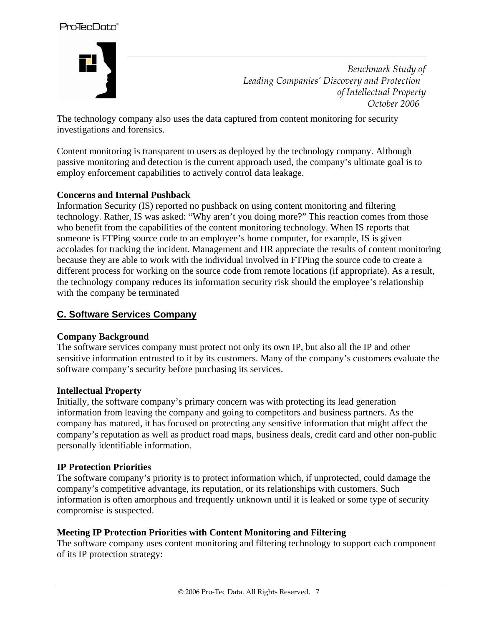

 *Benchmark Study of Leading Companies' Discovery and Protection of Intellectual Property October 2006* 

The technology company also uses the data captured from content monitoring for security investigations and forensics.

Content monitoring is transparent to users as deployed by the technology company. Although passive monitoring and detection is the current approach used, the company's ultimate goal is to employ enforcement capabilities to actively control data leakage.

#### **Concerns and Internal Pushback**

Information Security (IS) reported no pushback on using content monitoring and filtering technology. Rather, IS was asked: "Why aren't you doing more?" This reaction comes from those who benefit from the capabilities of the content monitoring technology. When IS reports that someone is FTPing source code to an employee's home computer, for example, IS is given accolades for tracking the incident. Management and HR appreciate the results of content monitoring because they are able to work with the individual involved in FTPing the source code to create a different process for working on the source code from remote locations (if appropriate). As a result, the technology company reduces its information security risk should the employee's relationship with the company be terminated

#### **C. Software Services Company**

#### **Company Background**

The software services company must protect not only its own IP, but also all the IP and other sensitive information entrusted to it by its customers. Many of the company's customers evaluate the software company's security before purchasing its services.

#### **Intellectual Property**

Initially, the software company's primary concern was with protecting its lead generation information from leaving the company and going to competitors and business partners. As the company has matured, it has focused on protecting any sensitive information that might affect the company's reputation as well as product road maps, business deals, credit card and other non-public personally identifiable information.

#### **IP Protection Priorities**

The software company's priority is to protect information which, if unprotected, could damage the company's competitive advantage, its reputation, or its relationships with customers. Such information is often amorphous and frequently unknown until it is leaked or some type of security compromise is suspected.

#### **Meeting IP Protection Priorities with Content Monitoring and Filtering**

The software company uses content monitoring and filtering technology to support each component of its IP protection strategy: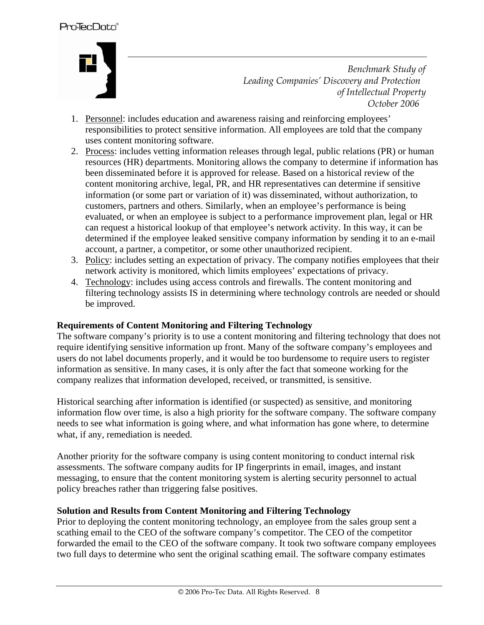

 *Benchmark Study of Leading Companies' Discovery and Protection of Intellectual Property October 2006* 

- 1. Personnel: includes education and awareness raising and reinforcing employees' responsibilities to protect sensitive information. All employees are told that the company uses content monitoring software.
- 2. Process: includes vetting information releases through legal, public relations (PR) or human resources (HR) departments. Monitoring allows the company to determine if information has been disseminated before it is approved for release. Based on a historical review of the content monitoring archive, legal, PR, and HR representatives can determine if sensitive information (or some part or variation of it) was disseminated, without authorization, to customers, partners and others. Similarly, when an employee's performance is being evaluated, or when an employee is subject to a performance improvement plan, legal or HR can request a historical lookup of that employee's network activity. In this way, it can be determined if the employee leaked sensitive company information by sending it to an e-mail account, a partner, a competitor, or some other unauthorized recipient.
- 3. Policy: includes setting an expectation of privacy. The company notifies employees that their network activity is monitored, which limits employees' expectations of privacy.
- 4. Technology: includes using access controls and firewalls. The content monitoring and filtering technology assists IS in determining where technology controls are needed or should be improved.

#### **Requirements of Content Monitoring and Filtering Technology**

The software company's priority is to use a content monitoring and filtering technology that does not require identifying sensitive information up front. Many of the software company's employees and users do not label documents properly, and it would be too burdensome to require users to register information as sensitive. In many cases, it is only after the fact that someone working for the company realizes that information developed, received, or transmitted, is sensitive.

Historical searching after information is identified (or suspected) as sensitive, and monitoring information flow over time, is also a high priority for the software company. The software company needs to see what information is going where, and what information has gone where, to determine what, if any, remediation is needed.

Another priority for the software company is using content monitoring to conduct internal risk assessments. The software company audits for IP fingerprints in email, images, and instant messaging, to ensure that the content monitoring system is alerting security personnel to actual policy breaches rather than triggering false positives.

#### **Solution and Results from Content Monitoring and Filtering Technology**

Prior to deploying the content monitoring technology, an employee from the sales group sent a scathing email to the CEO of the software company's competitor. The CEO of the competitor forwarded the email to the CEO of the software company. It took two software company employees two full days to determine who sent the original scathing email. The software company estimates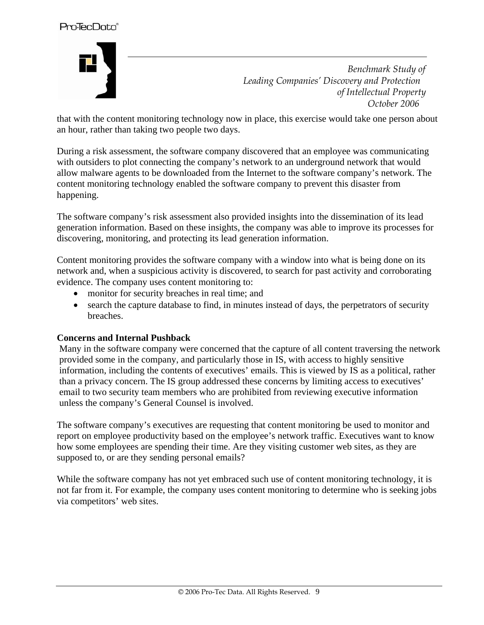

 *Benchmark Study of Leading Companies' Discovery and Protection of Intellectual Property October 2006* 

that with the content monitoring technology now in place, this exercise would take one person about an hour, rather than taking two people two days.

During a risk assessment, the software company discovered that an employee was communicating with outsiders to plot connecting the company's network to an underground network that would allow malware agents to be downloaded from the Internet to the software company's network. The content monitoring technology enabled the software company to prevent this disaster from happening.

The software company's risk assessment also provided insights into the dissemination of its lead generation information. Based on these insights, the company was able to improve its processes for discovering, monitoring, and protecting its lead generation information.

Content monitoring provides the software company with a window into what is being done on its network and, when a suspicious activity is discovered, to search for past activity and corroborating evidence. The company uses content monitoring to:

- monitor for security breaches in real time; and
- search the capture database to find, in minutes instead of days, the perpetrators of security breaches.

#### **Concerns and Internal Pushback**

Many in the software company were concerned that the capture of all content traversing the network provided some in the company, and particularly those in IS, with access to highly sensitive information, including the contents of executives' emails. This is viewed by IS as a political, rather than a privacy concern. The IS group addressed these concerns by limiting access to executives' email to two security team members who are prohibited from reviewing executive information unless the company's General Counsel is involved.

The software company's executives are requesting that content monitoring be used to monitor and report on employee productivity based on the employee's network traffic. Executives want to know how some employees are spending their time. Are they visiting customer web sites, as they are supposed to, or are they sending personal emails?

While the software company has not yet embraced such use of content monitoring technology, it is not far from it. For example, the company uses content monitoring to determine who is seeking jobs via competitors' web sites.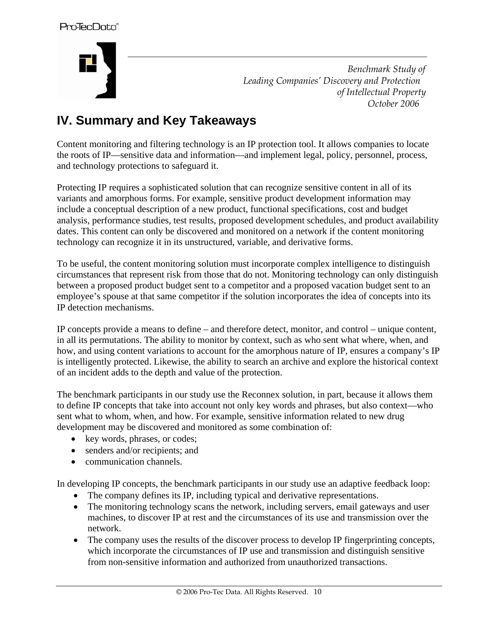

 *Benchmark Study of Leading Companies' Discovery and Protection of Intellectual Property October 2006* 

# **IV. Summary and Key Takeaways**

Content monitoring and filtering technology is an IP protection tool. It allows companies to locate the roots of IP—sensitive data and information—and implement legal, policy, personnel, process, and technology protections to safeguard it.

Protecting IP requires a sophisticated solution that can recognize sensitive content in all of its variants and amorphous forms. For example, sensitive product development information may include a conceptual description of a new product, functional specifications, cost and budget analysis, performance studies, test results, proposed development schedules, and product availability dates. This content can only be discovered and monitored on a network if the content monitoring technology can recognize it in its unstructured, variable, and derivative forms.

To be useful, the content monitoring solution must incorporate complex intelligence to distinguish circumstances that represent risk from those that do not. Monitoring technology can only distinguish between a proposed product budget sent to a competitor and a proposed vacation budget sent to an employee's spouse at that same competitor if the solution incorporates the idea of concepts into its IP detection mechanisms.

IP concepts provide a means to define – and therefore detect, monitor, and control – unique content, in all its permutations. The ability to monitor by context, such as who sent what where, when, and how, and using content variations to account for the amorphous nature of IP, ensures a company's IP is intelligently protected. Likewise, the ability to search an archive and explore the historical context of an incident adds to the depth and value of the protection.

The benchmark participants in our study use the Reconnex solution, in part, because it allows them to define IP concepts that take into account not only key words and phrases, but also context—who sent what to whom, when, and how. For example, sensitive information related to new drug development may be discovered and monitored as some combination of:

- key words, phrases, or codes;
- senders and/or recipients; and
- communication channels.

In developing IP concepts, the benchmark participants in our study use an adaptive feedback loop:

- The company defines its IP, including typical and derivative representations.
- The monitoring technology scans the network, including servers, email gateways and user machines, to discover IP at rest and the circumstances of its use and transmission over the network.
- The company uses the results of the discover process to develop IP fingerprinting concepts, which incorporate the circumstances of IP use and transmission and distinguish sensitive from non-sensitive information and authorized from unauthorized transactions.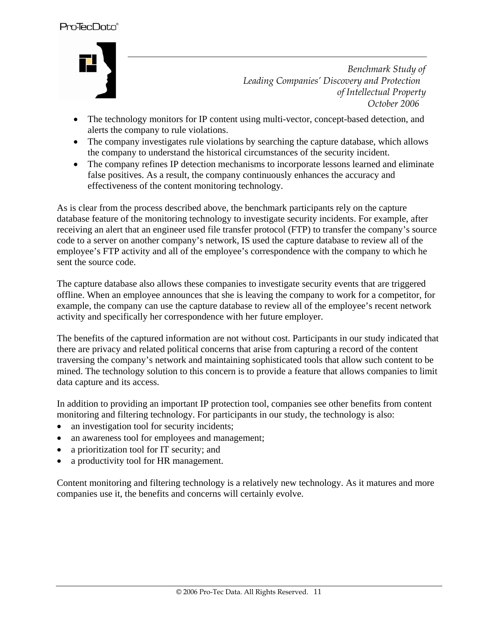

 *Benchmark Study of Leading Companies' Discovery and Protection of Intellectual Property October 2006* 

- The technology monitors for IP content using multi-vector, concept-based detection, and alerts the company to rule violations.
- The company investigates rule violations by searching the capture database, which allows the company to understand the historical circumstances of the security incident.
- The company refines IP detection mechanisms to incorporate lessons learned and eliminate false positives. As a result, the company continuously enhances the accuracy and effectiveness of the content monitoring technology.

As is clear from the process described above, the benchmark participants rely on the capture database feature of the monitoring technology to investigate security incidents. For example, after receiving an alert that an engineer used file transfer protocol (FTP) to transfer the company's source code to a server on another company's network, IS used the capture database to review all of the employee's FTP activity and all of the employee's correspondence with the company to which he sent the source code.

The capture database also allows these companies to investigate security events that are triggered offline. When an employee announces that she is leaving the company to work for a competitor, for example, the company can use the capture database to review all of the employee's recent network activity and specifically her correspondence with her future employer.

The benefits of the captured information are not without cost. Participants in our study indicated that there are privacy and related political concerns that arise from capturing a record of the content traversing the company's network and maintaining sophisticated tools that allow such content to be mined. The technology solution to this concern is to provide a feature that allows companies to limit data capture and its access.

In addition to providing an important IP protection tool, companies see other benefits from content monitoring and filtering technology. For participants in our study, the technology is also:

- an investigation tool for security incidents;
- an awareness tool for employees and management;
- a prioritization tool for IT security; and
- a productivity tool for HR management.

Content monitoring and filtering technology is a relatively new technology. As it matures and more companies use it, the benefits and concerns will certainly evolve.